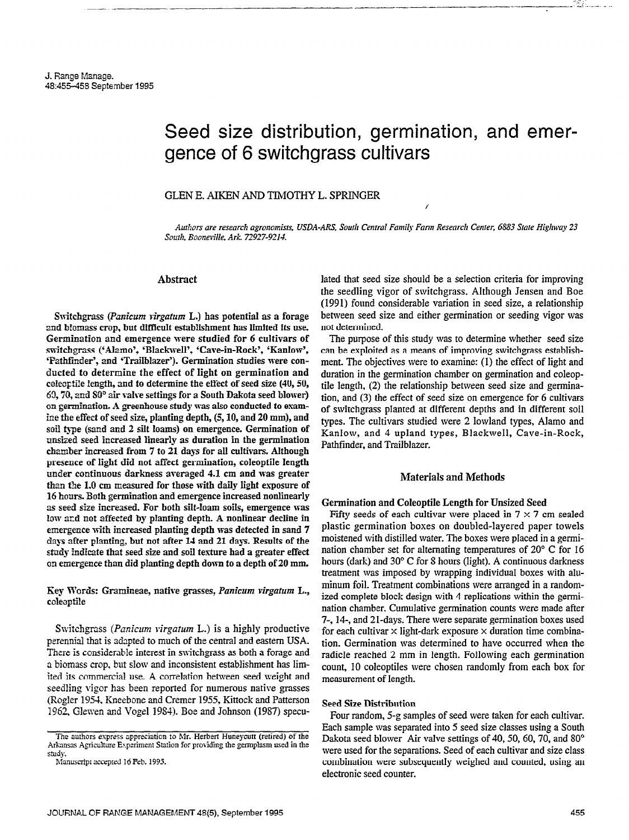## GLEN E. AIKEN AND TMOTHY L. SPRINGER

Authors are research agronomists, USDA-ARS, South Central Family Farm Research Center, 6883 State Highway 23 South, Booneville, Ark. 72927-9214.

## Abstract

Switchgrass (Panicum virgatum L.) has potential as a forage and biomass crop, but difficult establishment has limited its use. Germination and emergence were studied for 6 eultivars of switchgrass ('Alamo', 'Blackwell', 'Cave-in-Rock', 'Kanlow', 'Pathfinder', and 'Trailblazer'). Germination studies were conducted to determine the effect of light on germination and coleoptile length, and to determine the effect of seed size (40, 50,  $69, 70,$  and  $80^{\circ}$  air valve settings for a South Dakota seed blower) an germination. A greenhouse study was also conducted to examine the effect of seed size, planting depth, (5,10, and 20 mm), and soil type (sand and 2 silt loams) on emergence. Germination of unsized seed increased linearly as duration in the germination chamber increased from 7 to 21 days for all cultivars. Although presence of light did not affect germination, coleoptile length under continuous darkness averaged 4.1 cm and was greater than the 1.0 cm measured for those with daily light exposure of 16 hours. Both germination and emergence increased nonlinearly as seed size increased. For both silt-loam soils, emergence was low acd not affected by planting depth. A nonlinear decline in emergence with increased planting depth was detected in sand 7 days after planting, but not after 14 and 21 days. Results of the study indicate that seed size and soil texture had a greater effect on emergence than did planting depth down to a depth of 20 mm.

Key Words: Gramineae, native grasses, Panicum virgatum L., ccieoptile

Switchgrass (*Panicum virgatum L*.) is a highly productive perennial that is adapted to much of the central and eastern USA. There is considerable interest in switchgrass as both a forage and a biomass crop. but slow and inconsistent establishment has limited its commercial use. A correlation between seed weight and seedling vigor has been reported for numerous native grasses (Rogler 1954, Kneebone and Cremer 1955, Kittock and Patterson 1962, Glewen and Vogel 1984). Boe and Johnson (19S7) speculated that seed size should be a selection criteria for improving the seedling vigor of switchgrass. Although Jensen and Boe (1991) found considerable variation in seed size, a relationship between seed size and either germination or seeding vigor was not determined.

- --- \_-. -%I-. \_-

The purpose of this study was to determine whether seed size can be exploited as a means of improving switchgrass establishment. The objectives were to examine: (1) the effect of light and duration in the germination chamber on germination and coleoptile length, (2) the relationship between seed size and germination, and (3) the effect of seed size on emergence for 6 cultivars of switchgrass planted at different depths and in different soil types. The cultivars studied were 2 lowland types, Alamo and Kanlow, and 4 upland types, Blackwell, Cave-in-Rock, Pathfinder, and Trailblazer.

### Materials and Methods

#### Germination and Coleoptile Length for Unsized Seed

Fifty seeds of each cultivar were placed in  $7 \times 7$  cm sealed plastic germination boxes on doubled-layered paper towels moistened with distilled water. The boxes were placed in a germination chamber set for alternating temperatures of 20" C for 16 hours (dark) and 30" C for S hours (light). A continuous darkness treatment was imposed by wrapping individual boxes with aluminum foil. Treatment combinations were arranged in a randomized complete block design with 4 replications within the germination chamber. Cumulative germination counts were made after 7-, 14, and 21-days. There were separate germination boxes used for each cultivar  $\times$  light-dark exposure  $\times$  duration time combination. Germination was determined to have occurred when the radicle reached 2 mm in length. Following each germination count, 10 coleoptiles were chosen randomly from each box for measurement of length.

#### Seed Size Distribution

Four random, 5-g samples of seed were taken for each cultivar. Each sample was separated into 5 seed size classes using a South Dakota seed blower Air valve settings of 40, 50, 60, 70, and 80° were used for the separations. Seed of each cultivar and size class combination were subsequently weighed and counted, using an electronic seed counter.

The authors express appreciation to Mr. Herbert Huneycutt (retired) of the Arkansas Agriculture Experiment Station for providing the germplasm used in the study.

Manuscript accepted 16 Feb. 1995.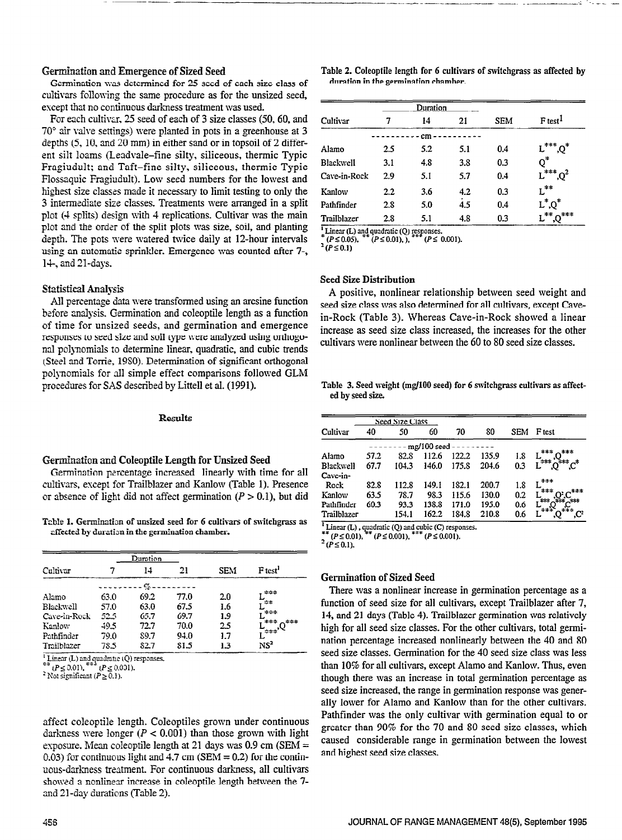Germination was determined for 25 seed of each size class of cultivars following the same procedure as for the unsized seed, escept that no continuous darkness treatment was used.

For each cultivar, 25 seed of each of 3 size classes (50, 60, and  $70^{\circ}$  air valve settings) were planted in pots in a greenhouse at 3 depths (5,10, and 20 mm) in either sand or in topsoil of 2 different silt loams (Leadvale-fine silty, siliceous, thermic Typic Fragiudult; and Taft-fine silty, siliceous, thermic Typic Flossaquic Fragiudult). Low seed numbers for the lowest and highest size classes made it necessary to limit testing to only the 3 intermediate size classes. Treatments were arranged in a split plot (4 splits) design with 4 replications. Cultivar was the main plot and the order of the split plots was size, soil, and planting depth. The pots were watered twice daily at 12-hour intervals using an automatic sprinkler. Emergence was counted after 7-,  $14$ -, and  $21$ -days.

#### Statistical Analysis

All percentage data were transformed using an arcsine function before analysis. Germination and coleoptile length as a function of time for unsized seeds, and germination and emergence responses to seed size and soil type were analyzed using orthogonal polynomials to determine linear, quadratic, and cubic trends (Steel and Torrie, 19SO). Determination of significant orthogonal polynomials for all simple effect comparisons followed GLM procedures for SAS described by Littell et al. (1991).

#### Germination and Coleoptile Length for Unsized Seed

Germination percentage increased linearly with time for all cultivars, except for Trailblazer and Kanlow (Table 1). Presence or absence of light did not affect germination  $(P > 0.1)$ , but did

Table 1. Germination of unsized seed for 6 cultivars of switchgrass as effected by duration in the germination chamber.

|              |      | Duration         |      |            |                     |  |
|--------------|------|------------------|------|------------|---------------------|--|
| Cultivar     |      | 14               | 21   | <b>SEM</b> | F <sub>test</sub> ' |  |
|              |      | . $C_0$          |      |            |                     |  |
| Alamo        | 63.0 | 69.2             | 77.0 | 2.0        | ***                 |  |
| Blackwell    | 57.0 | 63.0             | 67.5 | 1.6        | -≑≢                 |  |
| Cave-in-Rock | 52.5 | 65.7             | 69.7 | 1.9        | ***                 |  |
| Kanlow       | 49.5 | 72.7             | 70.0 | 25         | ‡‡≉<br>-***         |  |
| Pathfinder   | 79.0 | S <sub>9.7</sub> | 94.0 | 1.7        | 222                 |  |
| Trailblazer  | 78.5 | 82.7             | 81.5 | 1.3        | NS <sup>2</sup>     |  |

Linear (L) and quadratic ( $\zeta$ <sup>a.e.</sup> (*P* < 0.00).

arrect coleophie length. Coleophies grown under continuous darkness were longer ( $P < 0.001$ ) than those grown with light exposure. Mean coleoptile length at 21 days was  $0.9$  cm (SEM = 0.03) for continuous light and 4.7 cm (SEM = 0.2) for the continuous-darkness treatment. For continuous darkness, all cultivars showed a nonlinear increase in coleoptile length between the 7-<br>and 21-day durations (Table 2).

Germination and Emergence of Sized Seed Table 2. Coleoptile length for 6 cultivars of svitchgrass as affected by duration in the germination chamber.

|              |     | Duration |     |            |                         |
|--------------|-----|----------|-----|------------|-------------------------|
| Cultivar     |     | 14       | 21  | <b>SEM</b> | $F$ test <sup>1</sup>   |
|              |     | cm       |     |            |                         |
| Alamo        | 2.5 | 5.2      | 5.1 | 0.4        | $L^{***}$ , $Q^*$       |
| Blackwell    | 3.1 | 4.8      | 3.8 | 0.3        | $Q^*$                   |
| Cave-in-Rock | 2.9 | 5.1      | 5.7 | 0.4        | $L^{***}$ , $Q^2$       |
| Kanlow       | 2.2 | 3.6      | 4.2 | 0.3        | $\mathsf{L}^{**}$       |
| Pathfinder   | 2.8 | 5.0      | 4.5 | 0.4        | $L^*Q^*$                |
| Trailblazer  | 2.8 | 5.1      | 4.8 | 0.3        | $L^{**}$ $\Omega^{***}$ |

<sup>1</sup> Linear (L) and quadratic (Q) responses.<br>  $* (P \le 0.05)$ .  $* ^{*} (P \le 0.01)$ .  $(P \le 0.05)$ ,

 $2(P \le 0.1)$ 

## Seed Size Distribution

A positive, nonlinear relationship between seed weight and seed size class was also determined for all cultivars, except Cavein-Rock (Table 3). Whereas Cave-in-Rock showed a linear increase as seed size class increased, the increases for the other cultivars were nonlinear between the 60 to SO seed size classes.

Table 3. Seed weight (mg/100 seed) for 6 switchgrass cultivars as affected by seed size.

| Results                                  | Seed Size Class  |      |       |       |       |       |            |                                    |
|------------------------------------------|------------------|------|-------|-------|-------|-------|------------|------------------------------------|
|                                          | Cultivar         | 40   | 50    | 60    | 70    | 80    | <b>SEM</b> | F test                             |
|                                          | mg/100 seed -    |      |       |       |       |       |            |                                    |
|                                          | Alamo            | 57.2 | 82.8  | 112.6 | 122.2 | 135.9 | 1.8        |                                    |
| e Length for Unsized Seed                | <b>Blackwell</b> | 67.7 | 104.3 | 146.0 | 175.8 | 204.6 | 0.3        | $L^{\ast\ast}0^{\ast\ast}C^{\ast}$ |
| ncreased linearly with time for all      | Cave-in-         |      |       |       |       |       |            |                                    |
| izer and Kanlow (Table 1). Presence      | Rock             | 82.8 | 112.8 | 149.1 | 182.1 | 200.7 | 1.8        | ***                                |
| affect germination $(P > 0.1)$ , but did | Kanlow           | 63.5 | 78.7  | 98.3  | 115.6 | 130.0 | 0.2        |                                    |
|                                          | Pathfinder       | 60.3 | 93.3  | 138.8 | 171.0 | 195.0 | 0.6        | ≄≉                                 |
|                                          | Trailblazer      |      | 154.1 | 162.2 | 184.8 | 210.8 | 0.6        | ***                                |
| d seed for 6 cultivars of switchgrass as |                  |      |       |       |       |       |            |                                    |

 $*$  ( $P \le 0.01$ ),  $*$  ( $P \le 0.001$ ),  $*$  ( $P \le 0.001$ )

#### Germination of Sized Seed  $T_{\text{min}}$  and  $T_{\text{max}}$  in germination percentage as a set of  $T_{\text{max}}$

function of seed size for all cultural performance for a  $\sigma$ ,  $\sigma$ ,  $\sigma$ ,  $\sigma$ ,  $\sigma$ ,  $\sigma$ ,  $\sigma$ function of seed size for all cultivars, except Trailblazer after 7, 14, and 21 days (Table 4). Trailblazer germination was relatively high for all seed size classes. For the other cultivars, total germination percentage increased nonlinearly between the 40 and 80 seed size classes. Germination for the 40 seed size class was less than  $10\%$  for all cultivars, except Alamo and Kanlow. Thus, even though there was an increase in total germination percentage as seed size increased, the range in germination response was generally lower for Alamo and Kanlow than for the other cultivars. Pathfinder was the only cultivar with germination equal to or greater than  $90\%$  for the 70 and 80 seed size classes, which caused considerable range in germination between the lowest and highest seed size classes.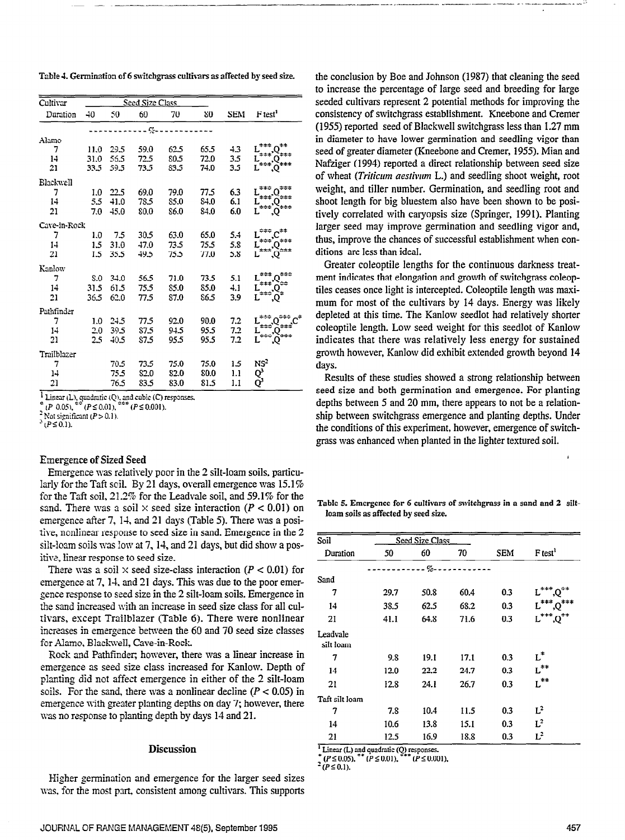Table 4. Germination of 6 switchgrass cultivars as affected by seed size.

| Cultivar         | Seed Size Class |      |         |      |      |            |                                                     |
|------------------|-----------------|------|---------|------|------|------------|-----------------------------------------------------|
| Duration         | -40             | 50   | 60      | 70   | 80   | <b>SEM</b> | F <sub>test</sub> <sup>1</sup>                      |
|                  |                 |      | ---- 7- |      |      |            |                                                     |
| Alamo            |                 |      |         |      |      |            |                                                     |
| 7                | 11.0            | 29.5 | 59.0    | 62.5 | 65.5 | 4.3        |                                                     |
| 14               | 31.0            | 56.5 | 72.5    | 80.5 | 72.0 | 3.5        | $\tilde{L}^{***}$<br>$\vec{L}$                      |
| 21               | 33.5            | 59.5 | 73.5    | 83.5 | 74.0 | 3.5        |                                                     |
| <b>Blackwell</b> |                 |      |         |      |      |            |                                                     |
| 7                | 1.0             | 22.5 | 69.0    | 79.0 | 77.5 | 6.3        | $L^{***}$<br>***                                    |
| 14               | 5.5             | 41.0 | 78.5    | 85.0 | 84.0 | 6.1        | $\bar{L}^{***'}$<br>:≈≠≠                            |
| 21               | 7.0             | 45.0 | 80.0    | 86.0 | 84.0 | 6.0        | $L^{\pm \pm \pm}$                                   |
| Cave-in-Rock     |                 |      |         |      |      |            |                                                     |
| 7                | 1.0             | 75   | 30.5    | 63.0 | 65.0 | 5.4        | ≎≉≑.                                                |
| 14               | 1.5             | 31.0 | 47.0    | 73.5 | 75.5 | 5.8        | $L^{***}$ <sup>1</sup> $O^{***}$<br>$L^{***}$       |
| 21               | 1.5             | 35.5 | 49.5    | 75.5 | 77.0 | 5.8        |                                                     |
| Kanlow           |                 |      |         |      |      |            |                                                     |
| 7                | 8.0             | 34.0 | 56.5    | 71.0 | 73.5 | 5.1        | ***<br>±≄± j                                        |
| 14               | 31.5            | 61.5 | 75.5    | 85.0 | 85.0 | 4.1        | $\vec{L}$ <sup>***</sup> $\Omega$ <sup>**</sup>     |
| 21               | 36.5            | 62.0 | 77.5    | 87.0 | 86.5 | 3.9        | $\tilde{L}^{***}$<br>О.                             |
| Pathfinder       |                 |      |         |      |      |            |                                                     |
| 7                | 1.0             | 24.5 | 77.5    | 92.0 | 90.0 | 7.2        |                                                     |
| 14               | 20              | 39.5 | 87.5    | 94.5 | 95.5 | 7.2        | $\tilde{L}^{***}$                                   |
| 21               | 2.5             | 40.5 | 87.5    | 95.5 | 95.5 | 7.2        |                                                     |
| Trailblazer      |                 |      |         |      |      |            |                                                     |
| 7                |                 | 70.5 | 73.5    | 75.0 | 75.0 | 1.5        |                                                     |
| 14               |                 | 75.5 | 82.0    | 82.0 | 80.0 | 1.1        |                                                     |
| 21               |                 | 76.5 | 83.5    | 83.0 | 81.5 | 1.1        | NS <sup>2</sup><br>Q <sup>3</sup><br>Q <sup>3</sup> |

I Linear (L), quadratic (Q), and cubic (C) responses.<br>  $^{\circ}$  (P 0.05),  $^{\circ}$  (P  $\leq$  0.01),  $^{\circ}$  (P  $\leq$  0.01).

Not significant  $(P > 0.1)$ .

 $^{3}(P \le 0.1)$ .

#### **Emergence of Sized Seed**

Emergence was relatively poor in the 2 silt-loam soils, particularly for the Taft soil. By 21 days, overall emergence was  $15.1\%$ for the Taft soil,  $21.2\%$  for the Leadvale soil, and 59.1% for the sand. There was a soil  $\times$  seed size interaction ( $P < 0.01$ ) on emergence after 7, 14, and 21 days (Table 5). There was a positive, nonlinear response to seed size in sand. Emergence in the 2 silt-loam soils was low at 7, 14, and 21 days, but did show a positive, linear response to seed size.

There was a soil  $\times$  seed size-class interaction ( $P < 0.01$ ) for emergence at 7, 14, and 21 days. This was due to the poor emergence response to seed size in the 2 silt-loam soils. Emergence in the sand increased with an increase in seed size class for all cultivars, except Trailblazer (Table 6). There were nonlinear increases in emergence between the 60 and 70 seed size classes for Alamo, Blackwell, Cave-in-Rock.

Rock and Pathfinder, however, there was a linear increase in emergence as seed size class increased for Kanlow. Depth of planting did not affect emergence in either of the 2 silt-loam soils. For the sand, there was a nonlinear decline  $(P < 0.05)$  in emergence with greater planting depths on day 7; however, there was no response to planting depth by days 14 and 21.

# **Discussion**

Higher germination and emergence for the larger seed sizes was, for the most part, consistent among cultivars. This supports the conclusion by Boe and Johnson (1987) that cleaning the seed to increase the percentage of large seed and breeding for large seeded cultivars represent 2 potential methods for improving the consistency of switchgrass establishment. Kneebone and Cremer (1955) reported seed of Blackwell switchgrass less than 1.27 mm in diameter to have lower germination and seedling vigor than seed of greater diameter (Kneebone and Cremer, 1955). Mian and Nafziger (1994) reported a direct relationship between seed size of wheat *(Triticum aestivum L.)* and seedling shoot weight, root weight, and tiller number. Germination, and seedling root and shoot length for big bluestem also have been shown to be positively correlated with caryopsis size (Springer, 1991). Planting larger seed may improve germination and seedling vigor and, thus, improve the chances of successful establishment when conditions are less than ideal.

Greater coleoptile lengths for the continuous darkness treatment indicates that elongation and growth of switchgrass coleoptiles ceases once light is intercepted. Coleoptile length was maximum for most of the cultivars by 14 days. Energy was likely depleted at this time. The Kanlow seedlot had relatively shorter coleoptile length. Low seed weight for this seedlot of Kanlow indicates that there was relatively less energy for sustained growth however, Kanlow did exhibit extended growth beyond 14 days.

Results of these studies showed a strong relationship between seed size and both germination and emergence. For planting depths between 5 and 20 mm, there appears to not be a relationship between switchgrass emergence and planting depths. Under the conditions of this experiment, however, emergence of switchgrass was enhanced when planted in the lighter textured soil.

Table 5. Emergence for 6 cultivars of switchgrass in a sand and 2 siltloam soils as affected by seed size.

| Soil                  |      | Seed Size Class |      |            |                                      |
|-----------------------|------|-----------------|------|------------|--------------------------------------|
| Duration              | 50   | 60              | 70   | <b>SEM</b> | F test <sup>1</sup>                  |
|                       |      | $--- 90 - 100$  |      |            |                                      |
| Sand                  |      |                 |      |            |                                      |
| 7                     | 29.7 | 50.8            | 60.4 | 0.3        | ***                                  |
| 14                    | 38.5 | 62.5            | 68.2 | 0.3        | $L^{***}$ , $Q^{***}$                |
| 21                    | 41.I | 64.8            | 71.6 | 0.3        | $L^{\ast\ast\ast}$ $\cap^{\ast\ast}$ |
| Leadvale<br>silt loam |      |                 |      |            |                                      |
| 7                     | 9.8  | 19.1            | 17.1 | 0.3        | $L^*$                                |
| 14                    | 12.0 | 22.2            | 24.7 | 0.3        | $L^{**}$                             |
| 21                    | 12.8 | 24.1            | 26.7 | 0.3        | $L^{\pm\pm}$                         |
| Taft silt loam        |      |                 |      |            |                                      |
| 7                     | 7.8  | 10.4            | 11.5 | 0.3        | $L^2$                                |
| 14                    | 10.6 | 13.8            | 15.1 | 0.3        | $L^2$                                |
| 21                    | 12.5 | 16.9            | 18.8 | 0.3        | $L^2$                                |

Linear (L) and quadratic (Q) responses.

 $(P \le 0.05)$ , \*  $*(P \le 0.01),$ \*\*  $F(P \le 0.001)$ .

 $(P \le 0.1)$ .